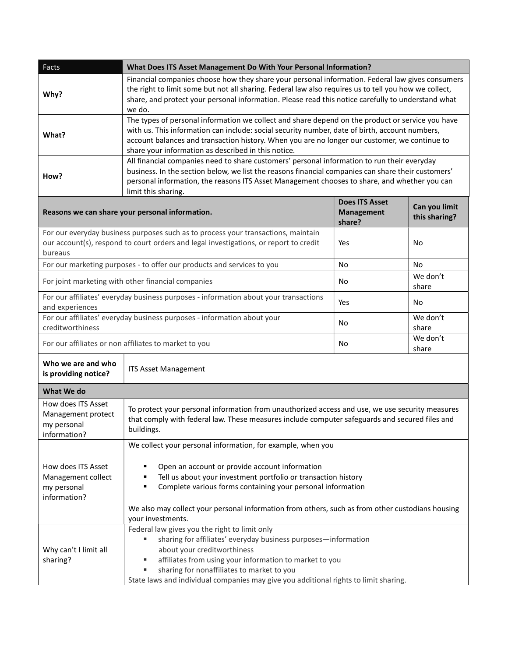| Facts                                                                                                                                                                                 | What Does ITS Asset Management Do With Your Personal Information?                                                                                                                                                                                                                                                                                          |                                                      |                                |
|---------------------------------------------------------------------------------------------------------------------------------------------------------------------------------------|------------------------------------------------------------------------------------------------------------------------------------------------------------------------------------------------------------------------------------------------------------------------------------------------------------------------------------------------------------|------------------------------------------------------|--------------------------------|
| Why?                                                                                                                                                                                  | Financial companies choose how they share your personal information. Federal law gives consumers<br>the right to limit some but not all sharing. Federal law also requires us to tell you how we collect,<br>share, and protect your personal information. Please read this notice carefully to understand what<br>we do.                                  |                                                      |                                |
| What?                                                                                                                                                                                 | The types of personal information we collect and share depend on the product or service you have<br>with us. This information can include: social security number, date of birth, account numbers,<br>account balances and transaction history. When you are no longer our customer, we continue to<br>share your information as described in this notice. |                                                      |                                |
| How?                                                                                                                                                                                  | All financial companies need to share customers' personal information to run their everyday<br>business. In the section below, we list the reasons financial companies can share their customers'<br>personal information, the reasons ITS Asset Management chooses to share, and whether you can<br>limit this sharing.                                   |                                                      |                                |
| Reasons we can share your personal information.                                                                                                                                       |                                                                                                                                                                                                                                                                                                                                                            | <b>Does ITS Asset</b><br><b>Management</b><br>share? | Can you limit<br>this sharing? |
| For our everyday business purposes such as to process your transactions, maintain<br>our account(s), respond to court orders and legal investigations, or report to credit<br>bureaus |                                                                                                                                                                                                                                                                                                                                                            | Yes                                                  | No                             |
| For our marketing purposes - to offer our products and services to you                                                                                                                |                                                                                                                                                                                                                                                                                                                                                            | <b>No</b>                                            | No.                            |
| For joint marketing with other financial companies                                                                                                                                    |                                                                                                                                                                                                                                                                                                                                                            | No                                                   | We don't<br>share              |
| For our affiliates' everyday business purposes - information about your transactions<br>and experiences                                                                               |                                                                                                                                                                                                                                                                                                                                                            | Yes                                                  | No                             |
| For our affiliates' everyday business purposes - information about your<br>creditworthiness                                                                                           |                                                                                                                                                                                                                                                                                                                                                            | No                                                   | We don't<br>share              |
| For our affiliates or non affiliates to market to you                                                                                                                                 |                                                                                                                                                                                                                                                                                                                                                            | No                                                   | We don't<br>share              |
| Who we are and who<br>is providing notice?                                                                                                                                            | <b>ITS Asset Management</b>                                                                                                                                                                                                                                                                                                                                |                                                      |                                |
| What We do                                                                                                                                                                            |                                                                                                                                                                                                                                                                                                                                                            |                                                      |                                |
| How does ITS Asset<br>Management protect<br>my personal<br>information?                                                                                                               | To protect your personal information from unauthorized access and use, we use security measures<br>that comply with federal law. These measures include computer safeguards and secured files and<br>buildings.                                                                                                                                            |                                                      |                                |
|                                                                                                                                                                                       | We collect your personal information, for example, when you                                                                                                                                                                                                                                                                                                |                                                      |                                |
| How does ITS Asset<br>Management collect<br>my personal<br>information?                                                                                                               | Open an account or provide account information<br>Tell us about your investment portfolio or transaction history<br>Complete various forms containing your personal information                                                                                                                                                                            |                                                      |                                |
| We also may collect your personal information from others, such as from other custodians housing<br>your investments.                                                                 |                                                                                                                                                                                                                                                                                                                                                            |                                                      |                                |
| Why can't I limit all<br>sharing?                                                                                                                                                     | Federal law gives you the right to limit only<br>sharing for affiliates' everyday business purposes-information<br>about your creditworthiness<br>affiliates from using your information to market to you<br>sharing for nonaffiliates to market to you<br>ш<br>State laws and individual companies may give you additional rights to limit sharing.       |                                                      |                                |